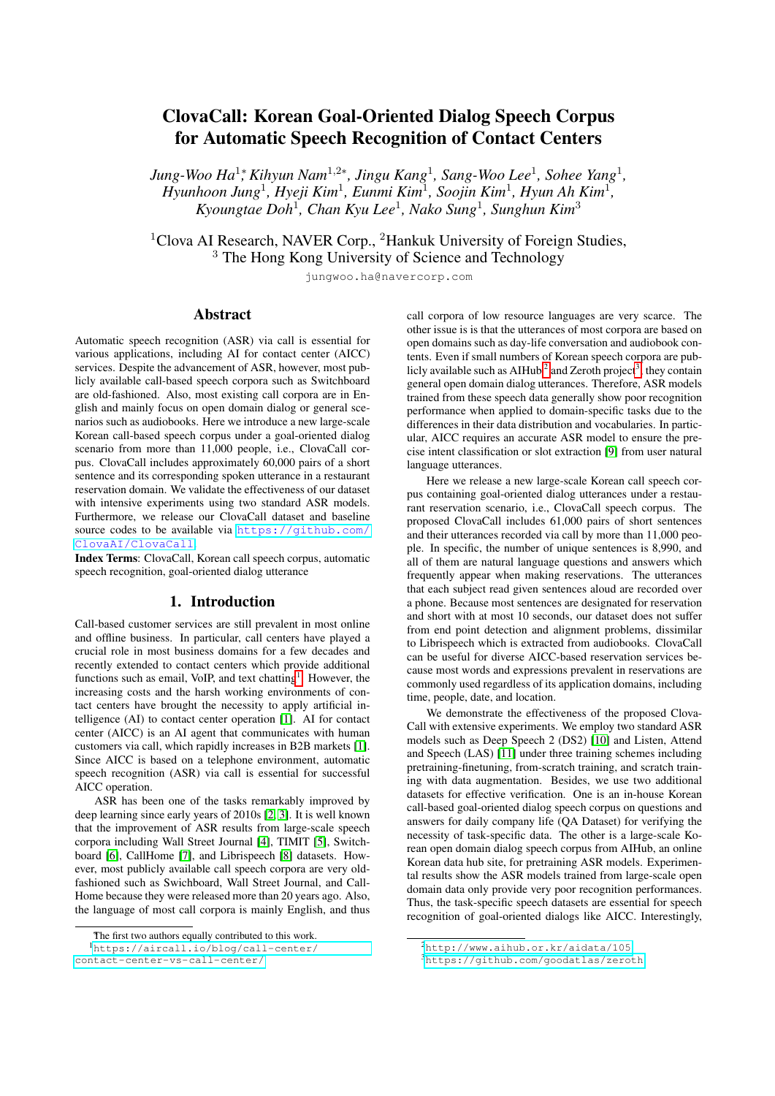# ClovaCall: Korean Goal-Oriented Dialog Speech Corpus for Automatic Speech Recognition of Contact Centers

*Jung-Woo Ha<sup>1</sup>; Kihyun Nam<sup>1,2∗</sup>, Jingu Kang<sup>1</sup>, Sang-Woo Lee<sup>1</sup>, Sohee Yang<sup>1</sup>, Hyunhoon Jung*<sup>1</sup> *, Hyeji Kim*<sup>1</sup> *, Eunmi Kim*<sup>1</sup> *, Soojin Kim*<sup>1</sup> *, Hyun Ah Kim*<sup>1</sup> *, Kyoungtae Doh*<sup>1</sup> *, Chan Kyu Lee*<sup>1</sup> *, Nako Sung*<sup>1</sup> *, Sunghun Kim*<sup>3</sup>

<sup>1</sup>Clova AI Research, NAVER Corp., <sup>2</sup>Hankuk University of Foreign Studies, <sup>3</sup> The Hong Kong University of Science and Technology

jungwoo.ha@navercorp.com

# Abstract

Automatic speech recognition (ASR) via call is essential for various applications, including AI for contact center (AICC) services. Despite the advancement of ASR, however, most publicly available call-based speech corpora such as Switchboard are old-fashioned. Also, most existing call corpora are in English and mainly focus on open domain dialog or general scenarios such as audiobooks. Here we introduce a new large-scale Korean call-based speech corpus under a goal-oriented dialog scenario from more than 11,000 people, i.e., ClovaCall corpus. ClovaCall includes approximately 60,000 pairs of a short sentence and its corresponding spoken utterance in a restaurant reservation domain. We validate the effectiveness of our dataset with intensive experiments using two standard ASR models. Furthermore, we release our ClovaCall dataset and baseline source codes to be available via [https://github.com/](https://github.com/ClovaAI/ClovaCall) [ClovaAI/ClovaCall](https://github.com/ClovaAI/ClovaCall).

Index Terms: ClovaCall, Korean call speech corpus, automatic speech recognition, goal-oriented dialog utterance

#### 1. Introduction

Call-based customer services are still prevalent in most online and offline business. In particular, call centers have played a crucial role in most business domains for a few decades and recently extended to contact centers which provide additional functions such as email, VoIP, and text chatting<sup>[1](#page-0-0)</sup>. However, the increasing costs and the harsh working environments of contact centers have brought the necessity to apply artificial intelligence (AI) to contact center operation [\[1\]](#page-4-0). AI for contact center (AICC) is an AI agent that communicates with human customers via call, which rapidly increases in B2B markets [\[1\]](#page-4-0). Since AICC is based on a telephone environment, automatic speech recognition (ASR) via call is essential for successful AICC operation.

ASR has been one of the tasks remarkably improved by deep learning since early years of 2010s [\[2,](#page-4-1) [3\]](#page-4-2). It is well known that the improvement of ASR results from large-scale speech corpora including Wall Street Journal [\[4\]](#page-4-3), TIMIT [\[5\]](#page-4-4), Switchboard [\[6\]](#page-4-5), CallHome [\[7\]](#page-4-6), and Librispeech [\[8\]](#page-4-7) datasets. However, most publicly available call speech corpora are very oldfashioned such as Swichboard, Wall Street Journal, and Call-Home because they were released more than 20 years ago. Also, the language of most call corpora is mainly English, and thus

<sup>1</sup>[https://aircall.io/blog/call-center/](https://aircall.io/blog/call-center/contact-center-vs-call-center/)

[contact-center-vs-call-center/](https://aircall.io/blog/call-center/contact-center-vs-call-center/)

call corpora of low resource languages are very scarce. The other issue is is that the utterances of most corpora are based on open domains such as day-life conversation and audiobook contents. Even if small numbers of Korean speech corpora are pub-licly available such as AIHub<sup>[2](#page-0-1)</sup> and Zeroth project<sup>[3](#page-0-2)</sup>, they contain general open domain dialog utterances. Therefore, ASR models trained from these speech data generally show poor recognition performance when applied to domain-specific tasks due to the differences in their data distribution and vocabularies. In particular, AICC requires an accurate ASR model to ensure the precise intent classification or slot extraction [\[9\]](#page-4-8) from user natural language utterances.

Here we release a new large-scale Korean call speech corpus containing goal-oriented dialog utterances under a restaurant reservation scenario, i.e., ClovaCall speech corpus. The proposed ClovaCall includes 61,000 pairs of short sentences and their utterances recorded via call by more than 11,000 people. In specific, the number of unique sentences is 8,990, and all of them are natural language questions and answers which frequently appear when making reservations. The utterances that each subject read given sentences aloud are recorded over a phone. Because most sentences are designated for reservation and short with at most 10 seconds, our dataset does not suffer from end point detection and alignment problems, dissimilar to Librispeech which is extracted from audiobooks. ClovaCall can be useful for diverse AICC-based reservation services because most words and expressions prevalent in reservations are commonly used regardless of its application domains, including time, people, date, and location.

We demonstrate the effectiveness of the proposed Clova-Call with extensive experiments. We employ two standard ASR models such as Deep Speech 2 (DS2) [\[10\]](#page-4-9) and Listen, Attend and Speech (LAS) [\[11\]](#page-4-10) under three training schemes including pretraining-finetuning, from-scratch training, and scratch training with data augmentation. Besides, we use two additional datasets for effective verification. One is an in-house Korean call-based goal-oriented dialog speech corpus on questions and answers for daily company life (QA Dataset) for verifying the necessity of task-specific data. The other is a large-scale Korean open domain dialog speech corpus from AIHub, an online Korean data hub site, for pretraining ASR models. Experimental results show the ASR models trained from large-scale open domain data only provide very poor recognition performances. Thus, the task-specific speech datasets are essential for speech recognition of goal-oriented dialogs like AICC. Interestingly,

<span id="page-0-0"></span>The first two authors equally contributed to this work.

<span id="page-0-1"></span><sup>2</sup><http://www.aihub.or.kr/aidata/105>

<span id="page-0-2"></span><sup>3</sup><https://github.com/goodatlas/zeroth>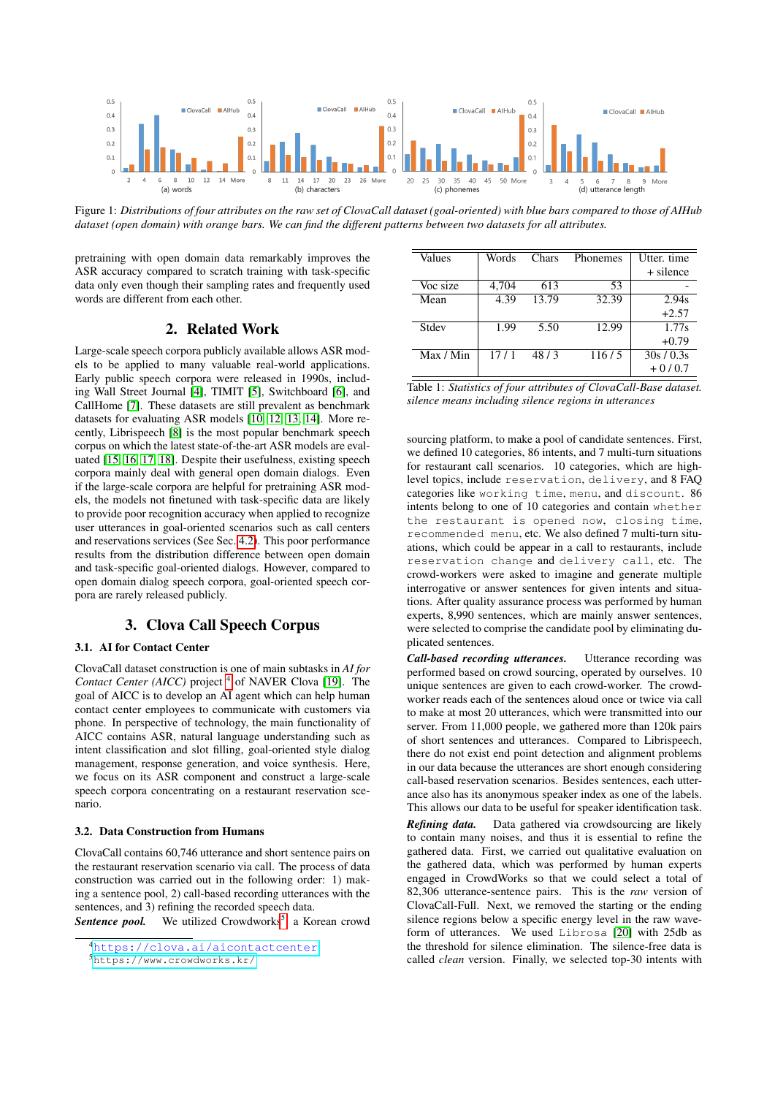<span id="page-1-3"></span>

Figure 1: *Distributions of four attributes on the raw set of ClovaCall dataset (goal-oriented) with blue bars compared to those of AIHub dataset (open domain) with orange bars. We can find the different patterns between two datasets for all attributes.*

pretraining with open domain data remarkably improves the ASR accuracy compared to scratch training with task-specific data only even though their sampling rates and frequently used words are different from each other.

# 2. Related Work

Large-scale speech corpora publicly available allows ASR models to be applied to many valuable real-world applications. Early public speech corpora were released in 1990s, including Wall Street Journal [\[4\]](#page-4-3), TIMIT [\[5\]](#page-4-4), Switchboard [\[6\]](#page-4-5), and CallHome [\[7\]](#page-4-6). These datasets are still prevalent as benchmark datasets for evaluating ASR models [\[10,](#page-4-9) [12,](#page-4-11) [13,](#page-4-12) [14\]](#page-4-13). More recently, Librispeech [\[8\]](#page-4-7) is the most popular benchmark speech corpus on which the latest state-of-the-art ASR models are evaluated [\[15,](#page-4-14) [16,](#page-4-15) [17,](#page-4-16) [18\]](#page-4-17). Despite their usefulness, existing speech corpora mainly deal with general open domain dialogs. Even if the large-scale corpora are helpful for pretraining ASR models, the models not finetuned with task-specific data are likely to provide poor recognition accuracy when applied to recognize user utterances in goal-oriented scenarios such as call centers and reservations services (See Sec. [4.2\)](#page-3-0). This poor performance results from the distribution difference between open domain and task-specific goal-oriented dialogs. However, compared to open domain dialog speech corpora, goal-oriented speech corpora are rarely released publicly.

# 3. Clova Call Speech Corpus

# 3.1. AI for Contact Center

ClovaCall dataset construction is one of main subtasks in *AI for* Contact Center (AICC) project<sup>[4](#page-1-0)</sup> of NAVER Clova [\[19\]](#page-4-18). The goal of AICC is to develop an AI agent which can help human contact center employees to communicate with customers via phone. In perspective of technology, the main functionality of AICC contains ASR, natural language understanding such as intent classification and slot filling, goal-oriented style dialog management, response generation, and voice synthesis. Here, we focus on its ASR component and construct a large-scale speech corpora concentrating on a restaurant reservation scenario.

#### 3.2. Data Construction from Humans

ClovaCall contains 60,746 utterance and short sentence pairs on the restaurant reservation scenario via call. The process of data construction was carried out in the following order: 1) making a sentence pool, 2) call-based recording utterances with the sentences, and 3) refining the recorded speech data.

Sentence pool. We utilized Crowdworks<sup>[5](#page-1-1)</sup>, a Korean crowd

<span id="page-1-1"></span><sup>5</sup><https://www.crowdworks.kr/>

<span id="page-1-2"></span>

| Values    | Words | Chars | Phonemes | Utter, time |
|-----------|-------|-------|----------|-------------|
|           |       |       |          | + silence   |
| Voc size  | 4,704 | 613   | 53       |             |
| Mean      | 4.39  | 13.79 | 32.39    | 2.94s       |
|           |       |       |          | $+2.57$     |
| Stdev     | 1.99  | 5.50  | 12.99    | 1.77s       |
|           |       |       |          | $+0.79$     |
| Max / Min | 17/1  | 48/3  | 116/5    | 30s / 0.3s  |
|           |       |       |          | $+0/0.7$    |

| Table 1: Statistics of four attributes of ClovaCall-Base dataset. |  |
|-------------------------------------------------------------------|--|
| silence means including silence regions in utterances             |  |

sourcing platform, to make a pool of candidate sentences. First, we defined 10 categories, 86 intents, and 7 multi-turn situations for restaurant call scenarios. 10 categories, which are highlevel topics, include reservation, delivery, and 8 FAQ categories like working time, menu, and discount. 86 intents belong to one of 10 categories and contain whether the restaurant is opened now, closing time, recommended menu, etc. We also defined 7 multi-turn situations, which could be appear in a call to restaurants, include reservation change and delivery call, etc. The crowd-workers were asked to imagine and generate multiple interrogative or answer sentences for given intents and situations. After quality assurance process was performed by human experts, 8,990 sentences, which are mainly answer sentences, were selected to comprise the candidate pool by eliminating duplicated sentences.

*Call-based recording utterances.* Utterance recording was performed based on crowd sourcing, operated by ourselves. 10 unique sentences are given to each crowd-worker. The crowdworker reads each of the sentences aloud once or twice via call to make at most 20 utterances, which were transmitted into our server. From 11,000 people, we gathered more than 120k pairs of short sentences and utterances. Compared to Librispeech, there do not exist end point detection and alignment problems in our data because the utterances are short enough considering call-based reservation scenarios. Besides sentences, each utterance also has its anonymous speaker index as one of the labels. This allows our data to be useful for speaker identification task. *Refining data.* Data gathered via crowdsourcing are likely

to contain many noises, and thus it is essential to refine the gathered data. First, we carried out qualitative evaluation on the gathered data, which was performed by human experts engaged in CrowdWorks so that we could select a total of 82,306 utterance-sentence pairs. This is the *raw* version of ClovaCall-Full. Next, we removed the starting or the ending silence regions below a specific energy level in the raw waveform of utterances. We used Librosa [\[20\]](#page-4-19) with 25db as the threshold for silence elimination. The silence-free data is called *clean* version. Finally, we selected top-30 intents with

<span id="page-1-0"></span><sup>4</sup><https://clova.ai/aicontactcenter>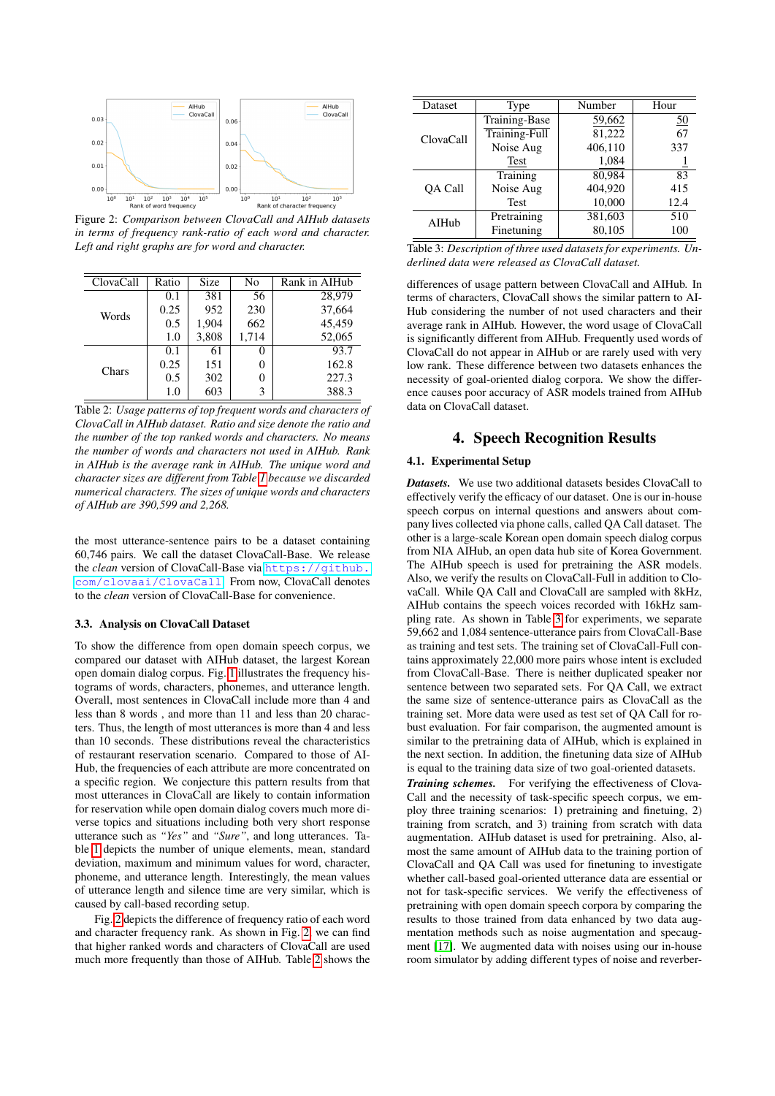<span id="page-2-0"></span>

Figure 2: *Comparison between ClovaCall and AIHub datasets in terms of frequency rank-ratio of each word and character. Left and right graphs are for word and character.*

<span id="page-2-1"></span>

| ClovaCall | Ratio | <b>Size</b> | No    | Rank in AIHub |
|-----------|-------|-------------|-------|---------------|
| Words     | 0.1   | 381         | 56    | 28,979        |
|           | 0.25  | 952         | 230   | 37.664        |
|           | 0.5   | 1,904       | 662   | 45.459        |
|           | 1.0   | 3,808       | 1,714 | 52,065        |
| Chars     | 0.1   | 61          | 0     | 93.7          |
|           | 0.25  | 151         | 0     | 162.8         |
|           | 0.5   | 302         | 0     | 227.3         |
|           | 1.0   | 603         | 3     | 388.3         |

Table 2: *Usage patterns of top frequent words and characters of ClovaCall in AIHub dataset. Ratio and size denote the ratio and the number of the top ranked words and characters. No means the number of words and characters not used in AIHub. Rank in AIHub is the average rank in AIHub. The unique word and character sizes are different from Table [1](#page-1-2) because we discarded numerical characters. The sizes of unique words and characters of AIHub are 390,599 and 2,268.*

the most utterance-sentence pairs to be a dataset containing 60,746 pairs. We call the dataset ClovaCall-Base. We release the *clean* version of ClovaCall-Base via [https://github.](https://github.com/clovaai/ClovaCall) [com/clovaai/ClovaCall](https://github.com/clovaai/ClovaCall). From now, ClovaCall denotes to the *clean* version of ClovaCall-Base for convenience.

#### 3.3. Analysis on ClovaCall Dataset

To show the difference from open domain speech corpus, we compared our dataset with AIHub dataset, the largest Korean open domain dialog corpus. Fig. [1](#page-1-3) illustrates the frequency histograms of words, characters, phonemes, and utterance length. Overall, most sentences in ClovaCall include more than 4 and less than 8 words , and more than 11 and less than 20 characters. Thus, the length of most utterances is more than 4 and less than 10 seconds. These distributions reveal the characteristics of restaurant reservation scenario. Compared to those of AI-Hub, the frequencies of each attribute are more concentrated on a specific region. We conjecture this pattern results from that most utterances in ClovaCall are likely to contain information for reservation while open domain dialog covers much more diverse topics and situations including both very short response utterance such as *"Yes"* and *"Sure"*, and long utterances. Table [1](#page-1-2) depicts the number of unique elements, mean, standard deviation, maximum and minimum values for word, character, phoneme, and utterance length. Interestingly, the mean values of utterance length and silence time are very similar, which is caused by call-based recording setup.

Fig. [2](#page-2-0) depicts the difference of frequency ratio of each word and character frequency rank. As shown in Fig. [2,](#page-2-0) we can find that higher ranked words and characters of ClovaCall are used much more frequently than those of AIHub. Table [2](#page-2-1) shows the

<span id="page-2-2"></span>

| Dataset        | Type          | Number                      | Hour             |
|----------------|---------------|-----------------------------|------------------|
|                | Training-Base | 59,662                      | $\underline{50}$ |
| ClovaCall      | Training-Full | 81,222                      | 67               |
|                | Noise Aug     | 406,110                     | 337              |
|                | Test          | 1,084                       |                  |
|                | Training      | 80.984                      | 83               |
| <b>OA Call</b> | Noise Aug     | 404.920                     | 415              |
|                | <b>Test</b>   | 10,000<br>381,603<br>80,105 | 12.4             |
| AIHub          | Pretraining   |                             | 510              |
|                | Finetuning    |                             | 100              |

Table 3: *Description of three used datasets for experiments. Underlined data were released as ClovaCall dataset.*

differences of usage pattern between ClovaCall and AIHub. In terms of characters, ClovaCall shows the similar pattern to AI-Hub considering the number of not used characters and their average rank in AIHub. However, the word usage of ClovaCall is significantly different from AIHub. Frequently used words of ClovaCall do not appear in AIHub or are rarely used with very low rank. These difference between two datasets enhances the necessity of goal-oriented dialog corpora. We show the difference causes poor accuracy of ASR models trained from AIHub data on ClovaCall dataset.

# 4. Speech Recognition Results

# 4.1. Experimental Setup

*Datasets.* We use two additional datasets besides ClovaCall to effectively verify the efficacy of our dataset. One is our in-house speech corpus on internal questions and answers about company lives collected via phone calls, called QA Call dataset. The other is a large-scale Korean open domain speech dialog corpus from NIA AIHub, an open data hub site of Korea Government. The AIHub speech is used for pretraining the ASR models. Also, we verify the results on ClovaCall-Full in addition to ClovaCall. While QA Call and ClovaCall are sampled with 8kHz, AIHub contains the speech voices recorded with 16kHz sampling rate. As shown in Table [3](#page-2-2) for experiments, we separate 59,662 and 1,084 sentence-utterance pairs from ClovaCall-Base as training and test sets. The training set of ClovaCall-Full contains approximately 22,000 more pairs whose intent is excluded from ClovaCall-Base. There is neither duplicated speaker nor sentence between two separated sets. For QA Call, we extract the same size of sentence-utterance pairs as ClovaCall as the training set. More data were used as test set of QA Call for robust evaluation. For fair comparison, the augmented amount is similar to the pretraining data of AIHub, which is explained in the next section. In addition, the finetuning data size of AIHub is equal to the training data size of two goal-oriented datasets.

*Training schemes.* For verifying the effectiveness of Clova-Call and the necessity of task-specific speech corpus, we employ three training scenarios: 1) pretraining and finetuing, 2) training from scratch, and 3) training from scratch with data augmentation. AIHub dataset is used for pretraining. Also, almost the same amount of AIHub data to the training portion of ClovaCall and QA Call was used for finetuning to investigate whether call-based goal-oriented utterance data are essential or not for task-specific services. We verify the effectiveness of pretraining with open domain speech corpora by comparing the results to those trained from data enhanced by two data augmentation methods such as noise augmentation and specaugment [\[17\]](#page-4-16). We augmented data with noises using our in-house room simulator by adding different types of noise and reverber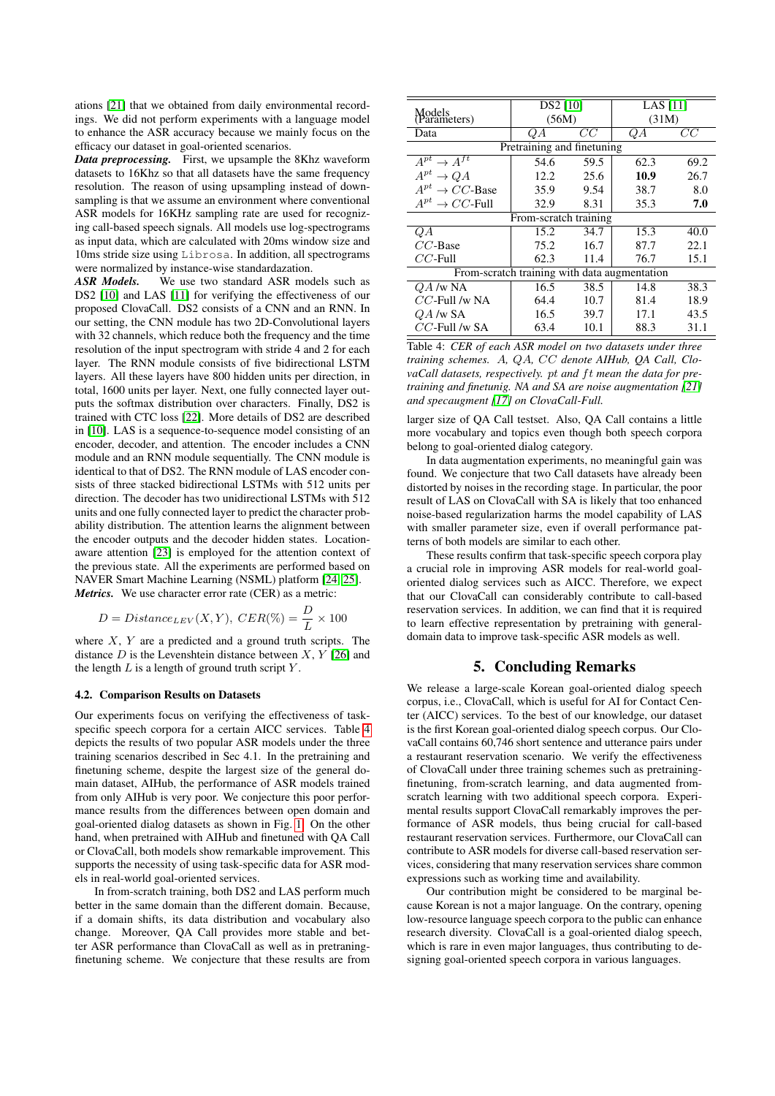ations [\[21\]](#page-4-20) that we obtained from daily environmental recordings. We did not perform experiments with a language model to enhance the ASR accuracy because we mainly focus on the efficacy our dataset in goal-oriented scenarios.

*Data preprocessing.* First, we upsample the 8Khz waveform datasets to 16Khz so that all datasets have the same frequency resolution. The reason of using upsampling instead of downsampling is that we assume an environment where conventional ASR models for 16KHz sampling rate are used for recognizing call-based speech signals. All models use log-spectrograms as input data, which are calculated with 20ms window size and 10ms stride size using Librosa. In addition, all spectrograms were normalized by instance-wise standardazation.

*ASR Models.* We use two standard ASR models such as DS2 [\[10\]](#page-4-9) and LAS [\[11\]](#page-4-10) for verifying the effectiveness of our proposed ClovaCall. DS2 consists of a CNN and an RNN. In our setting, the CNN module has two 2D-Convolutional layers with 32 channels, which reduce both the frequency and the time resolution of the input spectrogram with stride 4 and 2 for each layer. The RNN module consists of five bidirectional LSTM layers. All these layers have 800 hidden units per direction, in total, 1600 units per layer. Next, one fully connected layer outputs the softmax distribution over characters. Finally, DS2 is trained with CTC loss [\[22\]](#page-4-21). More details of DS2 are described in [\[10\]](#page-4-9). LAS is a sequence-to-sequence model consisting of an encoder, decoder, and attention. The encoder includes a CNN module and an RNN module sequentially. The CNN module is identical to that of DS2. The RNN module of LAS encoder consists of three stacked bidirectional LSTMs with 512 units per direction. The decoder has two unidirectional LSTMs with 512 units and one fully connected layer to predict the character probability distribution. The attention learns the alignment between the encoder outputs and the decoder hidden states. Locationaware attention [\[23\]](#page-4-22) is employed for the attention context of the previous state. All the experiments are performed based on NAVER Smart Machine Learning (NSML) platform [\[24,](#page-4-23) [25\]](#page-4-24). *Metrics.* We use character error rate (CER) as a metric:

$$
D = Distance_{LEV}(X, Y), CER(\%) = \frac{D}{L} \times 100
$$

where  $X$ ,  $Y$  are a predicted and a ground truth scripts. The distance  $D$  is the Levenshtein distance between  $X, Y$  [\[26\]](#page-4-25) and the length  $L$  is a length of ground truth script  $Y$ .

### <span id="page-3-0"></span>4.2. Comparison Results on Datasets

Our experiments focus on verifying the effectiveness of taskspecific speech corpora for a certain AICC services. Table [4](#page-3-1) depicts the results of two popular ASR models under the three training scenarios described in Sec 4.1. In the pretraining and finetuning scheme, despite the largest size of the general domain dataset, AIHub, the performance of ASR models trained from only AIHub is very poor. We conjecture this poor performance results from the differences between open domain and goal-oriented dialog datasets as shown in Fig. [1.](#page-1-3) On the other hand, when pretrained with AIHub and finetuned with QA Call or ClovaCall, both models show remarkable improvement. This supports the necessity of using task-specific data for ASR models in real-world goal-oriented services.

In from-scratch training, both DS2 and LAS perform much better in the same domain than the different domain. Because, if a domain shifts, its data distribution and vocabulary also change. Moreover, QA Call provides more stable and better ASR performance than ClovaCall as well as in pretraningfinetuning scheme. We conjecture that these results are from

<span id="page-3-1"></span>

| Models<br>(Parameters)                       | DS2 [10]<br>(56M) |      | LAS $[11]$<br>(31M) |      |  |  |
|----------------------------------------------|-------------------|------|---------------------|------|--|--|
| Data                                         | QΑ                | CC   | QA                  | CC   |  |  |
| Pretraining and finetuning                   |                   |      |                     |      |  |  |
| $A^{pt} \rightarrow A^{ft}$                  | 54.6              | 59.5 | 62.3                | 69.2 |  |  |
| $A^{pt} \to QA$                              | 12.2              | 25.6 | 10.9                | 26.7 |  |  |
| $A^{pt} \rightarrow CC$ -Base                | 35.9              | 9.54 | 38.7                | 8.0  |  |  |
| $A^{pt} \to CC$ -Full                        | 32.9              | 8.31 | 35.3                | 7.0  |  |  |
| From-scratch training                        |                   |      |                     |      |  |  |
| QΑ                                           | 15.2              | 34.7 | 15.3                | 40.0 |  |  |
| $CC$ -Base                                   | 75.2              | 16.7 | 87.7                | 22.1 |  |  |
| $CC$ -Full                                   | 62.3              | 11.4 | 76.7                | 15.1 |  |  |
| From-scratch training with data augmentation |                   |      |                     |      |  |  |
| $QA$ /w NA                                   | 16.5              | 38.5 | 14.8                | 38.3 |  |  |
| $CC$ -Full /w NA                             | 64.4              | 10.7 | 81.4                | 18.9 |  |  |
| $QA$ /w SA                                   | 16.5              | 39.7 | 17.1                | 43.5 |  |  |
| $CC$ -Full /w SA                             | 63.4              | 10.1 | 88.3                | 31.1 |  |  |

Table 4: *CER of each ASR model on two datasets under three training schemes.* A*,* QA*,* CC *denote AIHub, QA Call, Clo*vaCall datasets, respectively. pt and ft mean the data for pre*training and finetunig. NA and SA are noise augmentation [\[21\]](#page-4-20) and specaugment [\[17\]](#page-4-16) on ClovaCall-Full.*

larger size of QA Call testset. Also, QA Call contains a little more vocabulary and topics even though both speech corpora belong to goal-oriented dialog category.

In data augmentation experiments, no meaningful gain was found. We conjecture that two Call datasets have already been distorted by noises in the recording stage. In particular, the poor result of LAS on ClovaCall with SA is likely that too enhanced noise-based regularization harms the model capability of LAS with smaller parameter size, even if overall performance patterns of both models are similar to each other.

These results confirm that task-specific speech corpora play a crucial role in improving ASR models for real-world goaloriented dialog services such as AICC. Therefore, we expect that our ClovaCall can considerably contribute to call-based reservation services. In addition, we can find that it is required to learn effective representation by pretraining with generaldomain data to improve task-specific ASR models as well.

### 5. Concluding Remarks

We release a large-scale Korean goal-oriented dialog speech corpus, i.e., ClovaCall, which is useful for AI for Contact Center (AICC) services. To the best of our knowledge, our dataset is the first Korean goal-oriented dialog speech corpus. Our ClovaCall contains 60,746 short sentence and utterance pairs under a restaurant reservation scenario. We verify the effectiveness of ClovaCall under three training schemes such as pretrainingfinetuning, from-scratch learning, and data augmented fromscratch learning with two additional speech corpora. Experimental results support ClovaCall remarkably improves the performance of ASR models, thus being crucial for call-based restaurant reservation services. Furthermore, our ClovaCall can contribute to ASR models for diverse call-based reservation services, considering that many reservation services share common expressions such as working time and availability.

Our contribution might be considered to be marginal because Korean is not a major language. On the contrary, opening low-resource language speech corpora to the public can enhance research diversity. ClovaCall is a goal-oriented dialog speech, which is rare in even major languages, thus contributing to designing goal-oriented speech corpora in various languages.